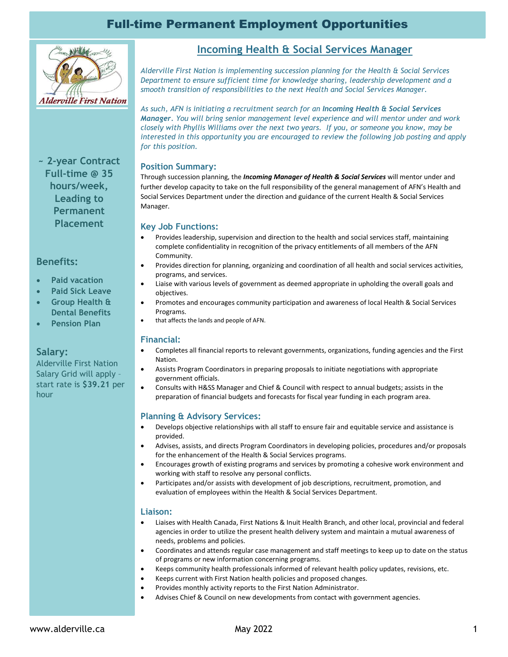## Full-time Permanent Employment Opportunities



**~ 2-year Contract Full-time @ 35 hours/week, Leading to Permanent Placement**

### **Benefits:**

- **Paid vacation**
- **Paid Sick Leave**
- **Group Health & Dental Benefits**
- **Pension Plan**

### **Salary:**

Alderville First Nation Salary Grid will apply – start rate is **\$39.21** per hour

### **Incoming Health & Social Services Manager**

*Alderville First Nation is implementing succession planning for the Health & Social Services Department to ensure sufficient time for knowledge sharing, leadership development and a smooth transition of responsibilities to the next Health and Social Services Manager.* 

*As such, AFN is initiating a recruitment search for an Incoming Health & Social Services Manager. You will bring senior management level experience and will mentor under and work closely with Phyllis Williams over the next two years. If you, or someone you know, may be interested in this opportunity you are encouraged to review the following job posting and apply for this position.*

### **Position Summary:**

Through succession planning, the *Incoming Manager of Health & Social Services* will mentor under and further develop capacity to take on the full responsibility of the general management of AFN's Health and Social Services Department under the direction and guidance of the current Health & Social Services Manager.

### **Key Job Functions:**

- Provides leadership, supervision and direction to the health and social services staff, maintaining complete confidentiality in recognition of the privacy entitlements of all members of the AFN Community.
- Provides direction for planning, organizing and coordination of all health and social services activities, programs, and services.
- Liaise with various levels of government as deemed appropriate in upholding the overall goals and objectives.
- Promotes and encourages community participation and awareness of local Health & Social Services Programs.
- that affects the lands and people of AFN.

### **Financial:**

- Completes all financial reports to relevant governments, organizations, funding agencies and the First Nation.
- Assists Program Coordinators in preparing proposals to initiate negotiations with appropriate government officials.
- Consults with H&SS Manager and Chief & Council with respect to annual budgets; assists in the preparation of financial budgets and forecasts for fiscal year funding in each program area.

### **Planning & Advisory Services:**

- Develops objective relationships with all staff to ensure fair and equitable service and assistance is provided.
- Advises, assists, and directs Program Coordinators in developing policies, procedures and/or proposals for the enhancement of the Health & Social Services programs.
- Encourages growth of existing programs and services by promoting a cohesive work environment and working with staff to resolve any personal conflicts.
- Participates and/or assists with development of job descriptions, recruitment, promotion, and evaluation of employees within the Health & Social Services Department.

### **Liaison:**

- Liaises with Health Canada, First Nations & Inuit Health Branch, and other local, provincial and federal agencies in order to utilize the present health delivery system and maintain a mutual awareness of needs, problems and policies.
- Coordinates and attends regular case management and staff meetings to keep up to date on the status of programs or new information concerning programs.
- Keeps community health professionals informed of relevant health policy updates, revisions, etc.
- Keeps current with First Nation health policies and proposed changes.
- Provides monthly activity reports to the First Nation Administrator.
- Advises Chief & Council on new developments from contact with government agencies.